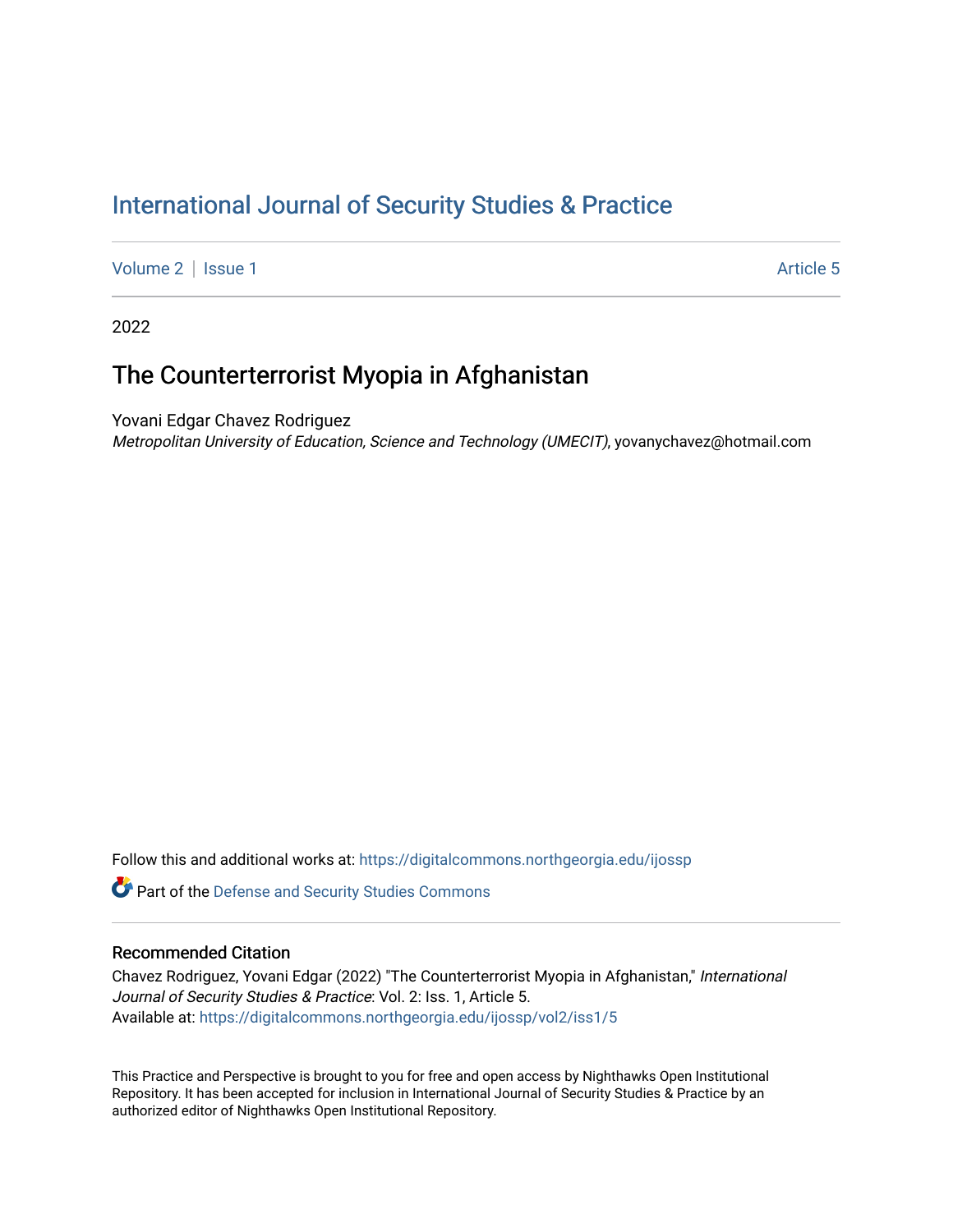# [International Journal of Security Studies & Practice](https://digitalcommons.northgeorgia.edu/ijossp)

[Volume 2](https://digitalcommons.northgeorgia.edu/ijossp/vol2) | [Issue 1](https://digitalcommons.northgeorgia.edu/ijossp/vol2/iss1) Article 5

2022

## The Counterterrorist Myopia in Afghanistan

Yovani Edgar Chavez Rodriguez

Metropolitan University of Education, Science and Technology (UMECIT), yovanychavez@hotmail.com

Follow this and additional works at: [https://digitalcommons.northgeorgia.edu/ijossp](https://digitalcommons.northgeorgia.edu/ijossp?utm_source=digitalcommons.northgeorgia.edu%2Fijossp%2Fvol2%2Fiss1%2F5&utm_medium=PDF&utm_campaign=PDFCoverPages) 

Part of the [Defense and Security Studies Commons](https://network.bepress.com/hgg/discipline/394?utm_source=digitalcommons.northgeorgia.edu%2Fijossp%2Fvol2%2Fiss1%2F5&utm_medium=PDF&utm_campaign=PDFCoverPages)

### Recommended Citation

Chavez Rodriguez, Yovani Edgar (2022) "The Counterterrorist Myopia in Afghanistan," International Journal of Security Studies & Practice: Vol. 2: Iss. 1, Article 5. Available at: [https://digitalcommons.northgeorgia.edu/ijossp/vol2/iss1/5](https://digitalcommons.northgeorgia.edu/ijossp/vol2/iss1/5?utm_source=digitalcommons.northgeorgia.edu%2Fijossp%2Fvol2%2Fiss1%2F5&utm_medium=PDF&utm_campaign=PDFCoverPages) 

This Practice and Perspective is brought to you for free and open access by Nighthawks Open Institutional Repository. It has been accepted for inclusion in International Journal of Security Studies & Practice by an authorized editor of Nighthawks Open Institutional Repository.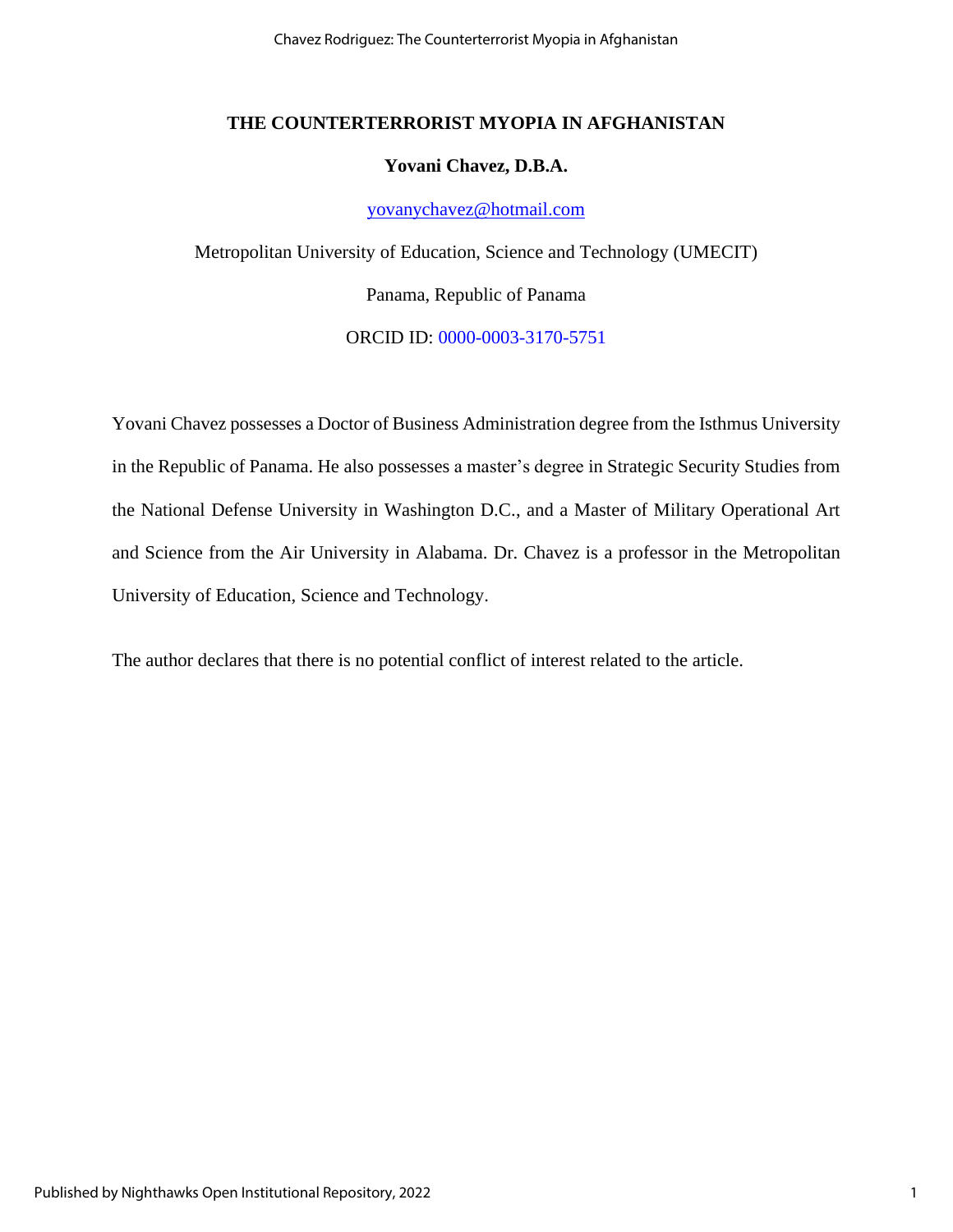Chavez Rodriguez: The Counterterrorist Myopia in Afghanistan

## **THE COUNTERTERRORIST MYOPIA IN AFGHANISTAN**

#### **Yovani Chavez, D.B.A.**

#### [yovanychavez@hotmail.com](mailto:yovanychavez@hotmail.com)

Metropolitan University of Education, Science and Technology (UMECIT) Panama, Republic of Panama ORCID ID: [0000-0003-3170-5751](https://orcid.org/0000-0003-3170-5751)

Yovani Chavez possesses a Doctor of Business Administration degree from the Isthmus University in the Republic of Panama. He also possesses a master's degree in Strategic Security Studies from the National Defense University in Washington D.C., and a Master of Military Operational Art and Science from the Air University in Alabama. Dr. Chavez is a professor in the Metropolitan University of Education, Science and Technology.

The author declares that there is no potential conflict of interest related to the article.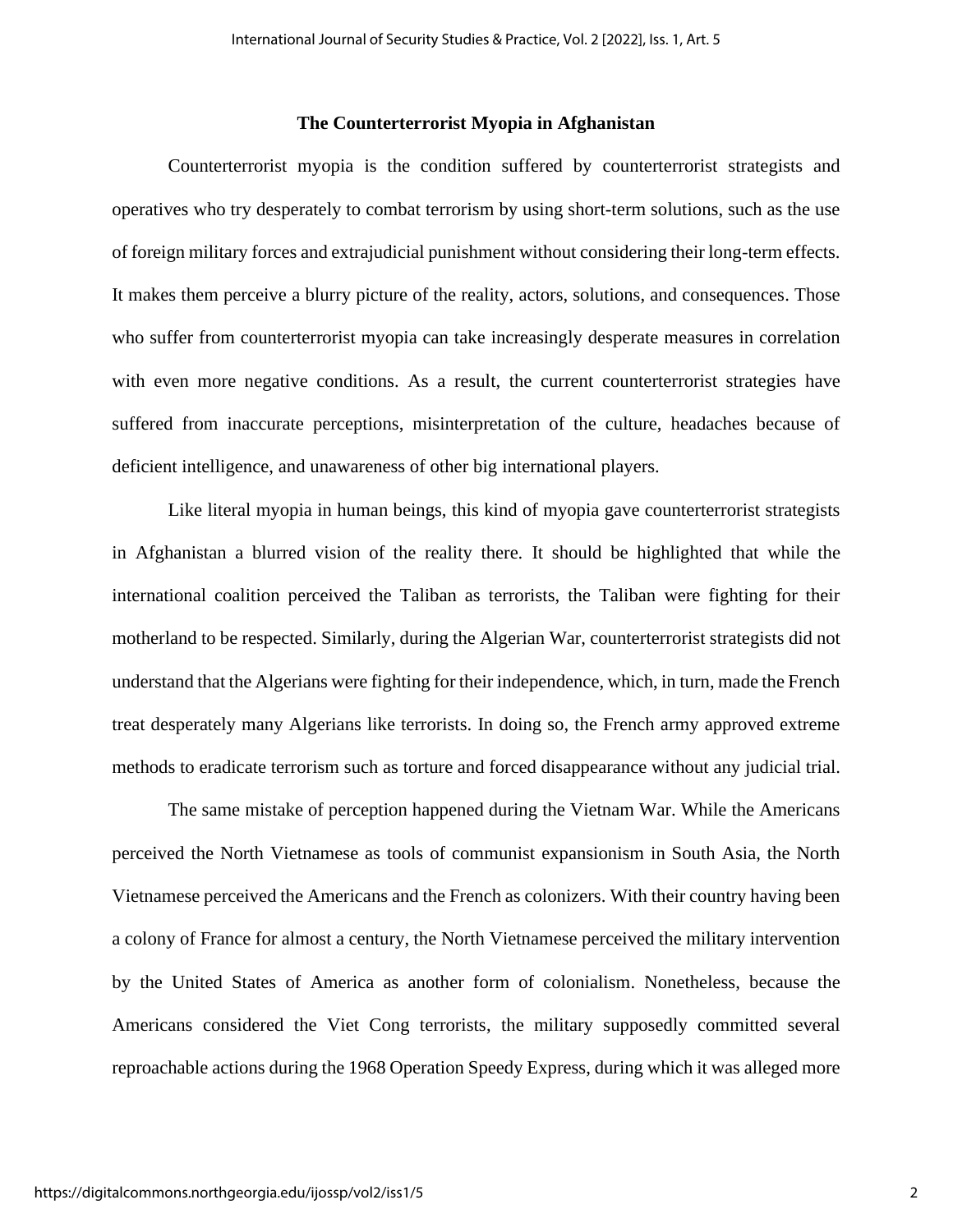#### **The Counterterrorist Myopia in Afghanistan**

Counterterrorist myopia is the condition suffered by counterterrorist strategists and operatives who try desperately to combat terrorism by using short-term solutions, such as the use of foreign military forces and extrajudicial punishment without considering their long-term effects. It makes them perceive a blurry picture of the reality, actors, solutions, and consequences. Those who suffer from counterterrorist myopia can take increasingly desperate measures in correlation with even more negative conditions. As a result, the current counterterrorist strategies have suffered from inaccurate perceptions, misinterpretation of the culture, headaches because of deficient intelligence, and unawareness of other big international players.

Like literal myopia in human beings, this kind of myopia gave counterterrorist strategists in Afghanistan a blurred vision of the reality there. It should be highlighted that while the international coalition perceived the Taliban as terrorists, the Taliban were fighting for their motherland to be respected. Similarly, during the Algerian War, counterterrorist strategists did not understand that the Algerians were fighting for their independence, which, in turn, made the French treat desperately many Algerians like terrorists. In doing so, the French army approved extreme methods to eradicate terrorism such as torture and forced disappearance without any judicial trial.

The same mistake of perception happened during the Vietnam War. While the Americans perceived the North Vietnamese as tools of communist expansionism in South Asia, the North Vietnamese perceived the Americans and the French as colonizers. With their country having been a colony of France for almost a century, the North Vietnamese perceived the military intervention by the United States of America as another form of colonialism. Nonetheless, because the Americans considered the Viet Cong terrorists, the military supposedly committed several reproachable actions during the 1968 Operation Speedy Express, during which it was alleged more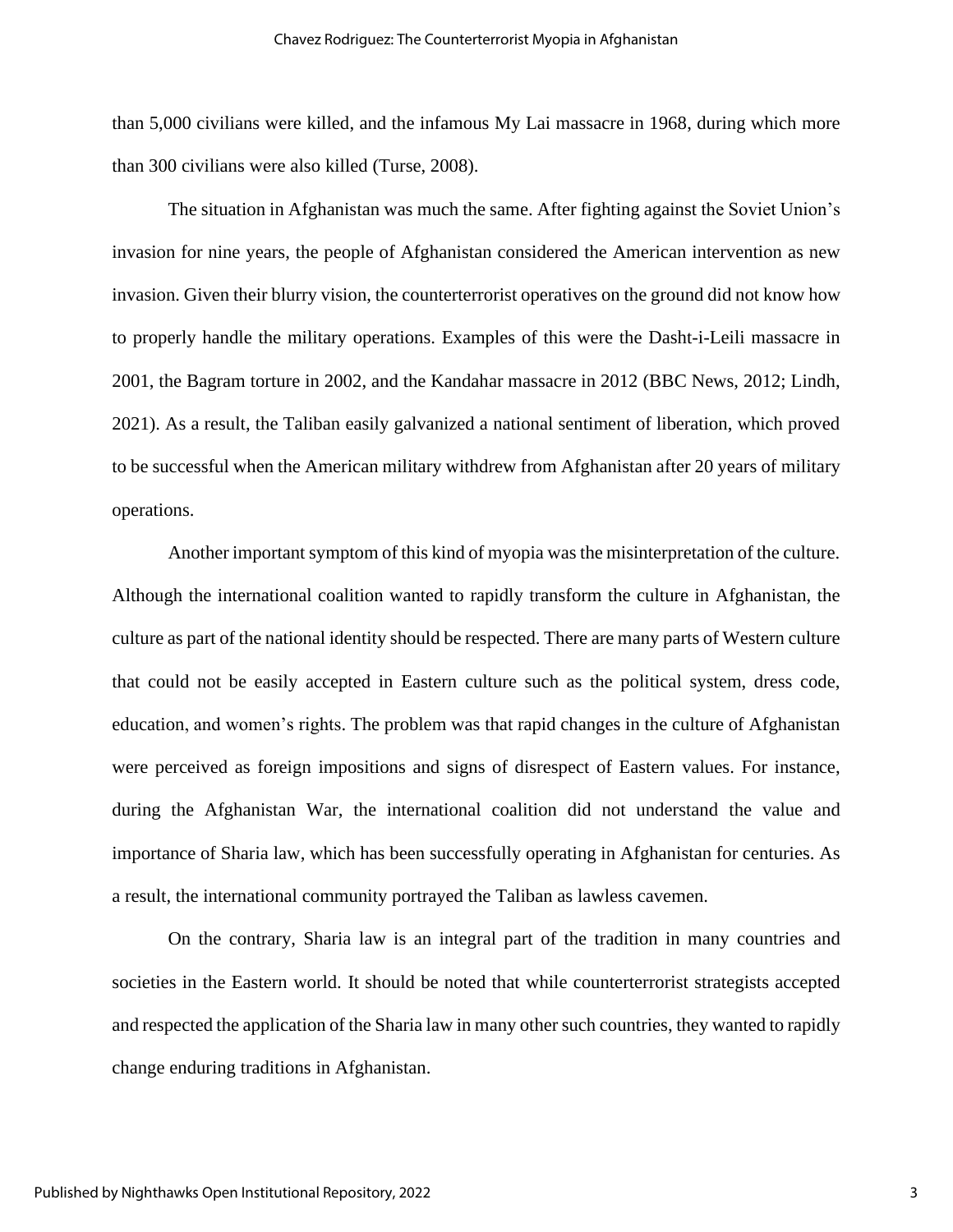than 5,000 civilians were killed, and the infamous My Lai massacre in 1968, during which more than 300 civilians were also killed (Turse, 2008).

The situation in Afghanistan was much the same. After fighting against the Soviet Union's invasion for nine years, the people of Afghanistan considered the American intervention as new invasion. Given their blurry vision, the counterterrorist operatives on the ground did not know how to properly handle the military operations. Examples of this were the Dasht-i-Leili massacre in 2001, the Bagram torture in 2002, and the Kandahar massacre in 2012 (BBC News, 2012; Lindh, 2021). As a result, the Taliban easily galvanized a national sentiment of liberation, which proved to be successful when the American military withdrew from Afghanistan after 20 years of military operations.

Another important symptom of this kind of myopia was the misinterpretation of the culture. Although the international coalition wanted to rapidly transform the culture in Afghanistan, the culture as part of the national identity should be respected. There are many parts of Western culture that could not be easily accepted in Eastern culture such as the political system, dress code, education, and women's rights. The problem was that rapid changes in the culture of Afghanistan were perceived as foreign impositions and signs of disrespect of Eastern values. For instance, during the Afghanistan War, the international coalition did not understand the value and importance of Sharia law, which has been successfully operating in Afghanistan for centuries. As a result, the international community portrayed the Taliban as lawless cavemen.

On the contrary, Sharia law is an integral part of the tradition in many countries and societies in the Eastern world. It should be noted that while counterterrorist strategists accepted and respected the application of the Sharia law in many other such countries, they wanted to rapidly change enduring traditions in Afghanistan.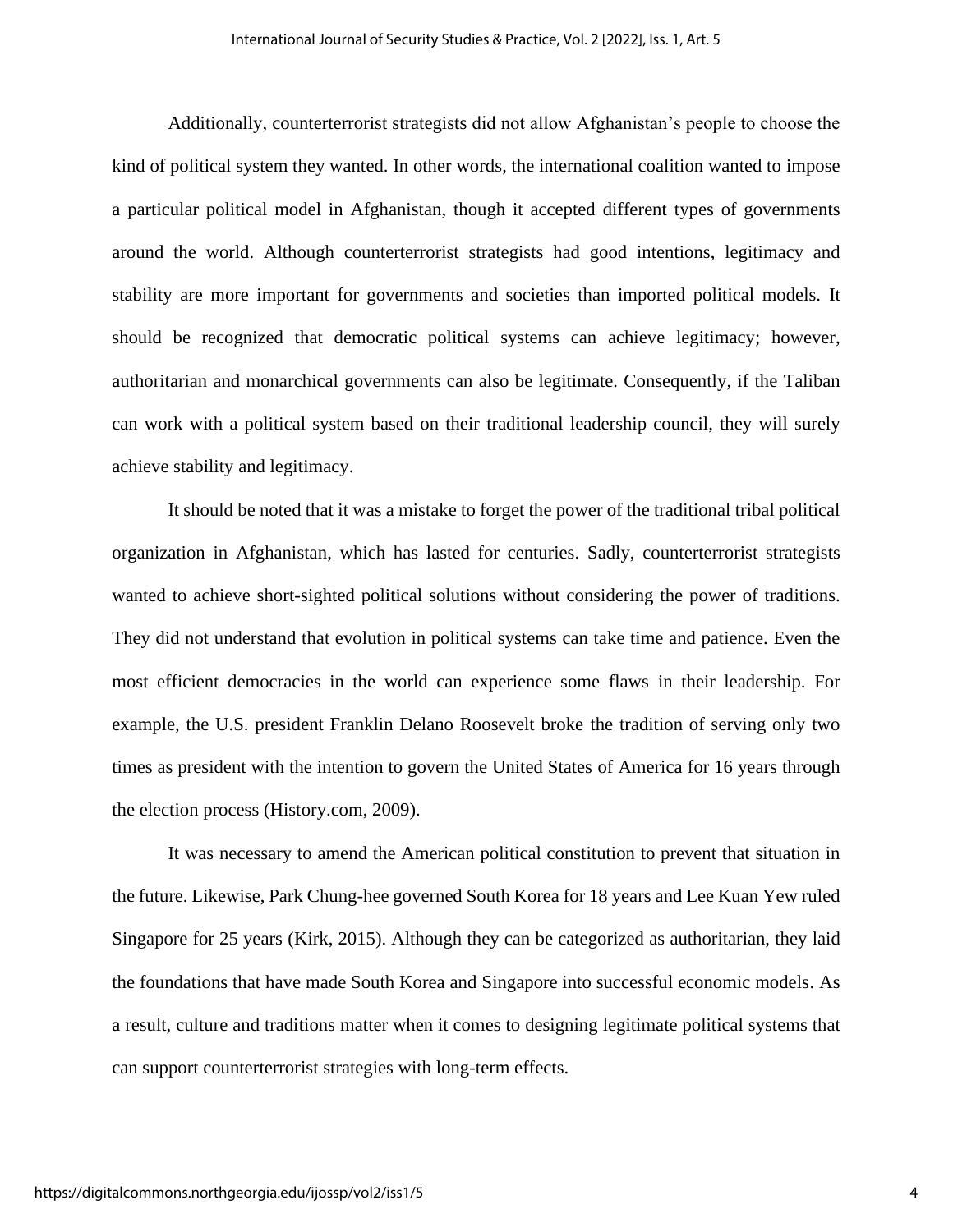Additionally, counterterrorist strategists did not allow Afghanistan's people to choose the kind of political system they wanted. In other words, the international coalition wanted to impose a particular political model in Afghanistan, though it accepted different types of governments around the world. Although counterterrorist strategists had good intentions, legitimacy and stability are more important for governments and societies than imported political models. It should be recognized that democratic political systems can achieve legitimacy; however, authoritarian and monarchical governments can also be legitimate. Consequently, if the Taliban can work with a political system based on their traditional leadership council, they will surely achieve stability and legitimacy.

It should be noted that it was a mistake to forget the power of the traditional tribal political organization in Afghanistan, which has lasted for centuries. Sadly, counterterrorist strategists wanted to achieve short-sighted political solutions without considering the power of traditions. They did not understand that evolution in political systems can take time and patience. Even the most efficient democracies in the world can experience some flaws in their leadership. For example, the U.S. president Franklin Delano Roosevelt broke the tradition of serving only two times as president with the intention to govern the United States of America for 16 years through the election process (History.com, 2009).

It was necessary to amend the American political constitution to prevent that situation in the future. Likewise, Park Chung-hee governed South Korea for 18 years and Lee Kuan Yew ruled Singapore for 25 years (Kirk, 2015). Although they can be categorized as authoritarian, they laid the foundations that have made South Korea and Singapore into successful economic models. As a result, culture and traditions matter when it comes to designing legitimate political systems that can support counterterrorist strategies with long-term effects.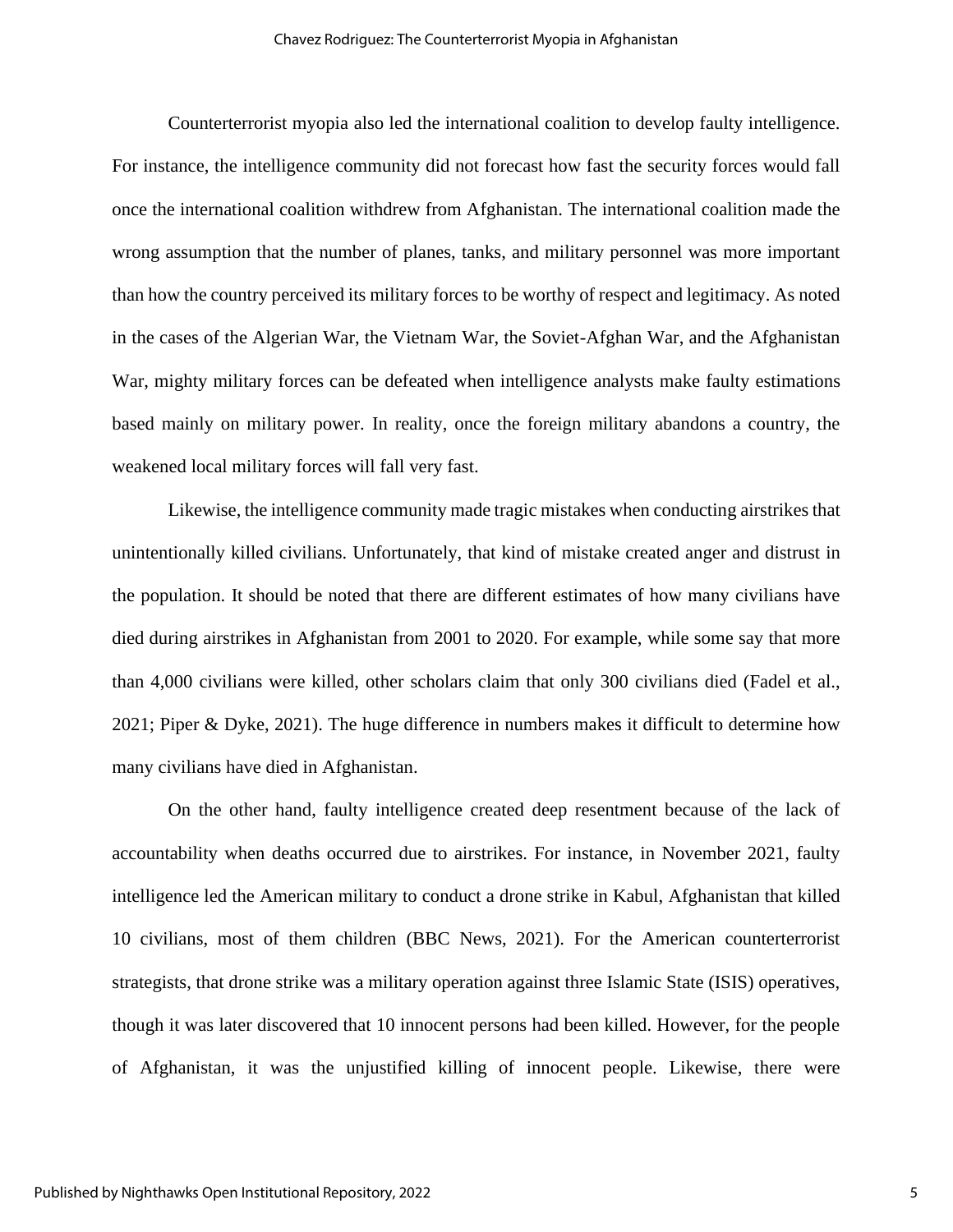Counterterrorist myopia also led the international coalition to develop faulty intelligence. For instance, the intelligence community did not forecast how fast the security forces would fall once the international coalition withdrew from Afghanistan. The international coalition made the wrong assumption that the number of planes, tanks, and military personnel was more important than how the country perceived its military forces to be worthy of respect and legitimacy. As noted in the cases of the Algerian War, the Vietnam War, the Soviet-Afghan War, and the Afghanistan War, mighty military forces can be defeated when intelligence analysts make faulty estimations based mainly on military power. In reality, once the foreign military abandons a country, the weakened local military forces will fall very fast.

Likewise, the intelligence community made tragic mistakes when conducting airstrikes that unintentionally killed civilians. Unfortunately, that kind of mistake created anger and distrust in the population. It should be noted that there are different estimates of how many civilians have died during airstrikes in Afghanistan from 2001 to 2020. For example, while some say that more than 4,000 civilians were killed, other scholars claim that only 300 civilians died (Fadel et al., 2021; Piper & Dyke, 2021). The huge difference in numbers makes it difficult to determine how many civilians have died in Afghanistan.

On the other hand, faulty intelligence created deep resentment because of the lack of accountability when deaths occurred due to airstrikes. For instance, in November 2021, faulty intelligence led the American military to conduct a drone strike in Kabul, Afghanistan that killed 10 civilians, most of them children (BBC News, 2021). For the American counterterrorist strategists, that drone strike was a military operation against three Islamic State (ISIS) operatives, though it was later discovered that 10 innocent persons had been killed. However, for the people of Afghanistan, it was the unjustified killing of innocent people. Likewise, there were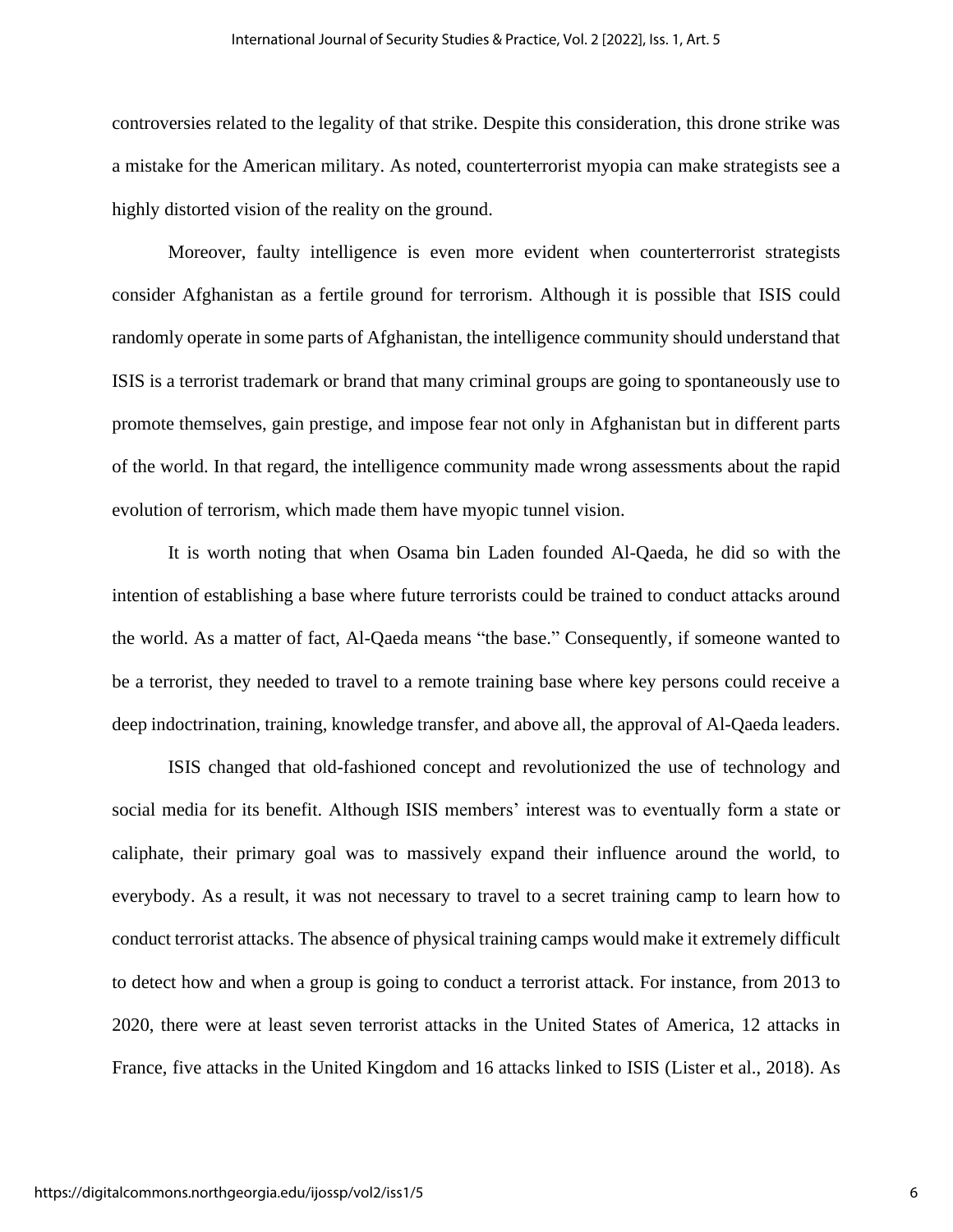controversies related to the legality of that strike. Despite this consideration, this drone strike was a mistake for the American military. As noted, counterterrorist myopia can make strategists see a highly distorted vision of the reality on the ground.

Moreover, faulty intelligence is even more evident when counterterrorist strategists consider Afghanistan as a fertile ground for terrorism. Although it is possible that ISIS could randomly operate in some parts of Afghanistan, the intelligence community should understand that ISIS is a terrorist trademark or brand that many criminal groups are going to spontaneously use to promote themselves, gain prestige, and impose fear not only in Afghanistan but in different parts of the world. In that regard, the intelligence community made wrong assessments about the rapid evolution of terrorism, which made them have myopic tunnel vision.

It is worth noting that when Osama bin Laden founded Al-Qaeda, he did so with the intention of establishing a base where future terrorists could be trained to conduct attacks around the world. As a matter of fact, Al-Qaeda means "the base." Consequently, if someone wanted to be a terrorist, they needed to travel to a remote training base where key persons could receive a deep indoctrination, training, knowledge transfer, and above all, the approval of Al-Qaeda leaders.

ISIS changed that old-fashioned concept and revolutionized the use of technology and social media for its benefit. Although ISIS members' interest was to eventually form a state or caliphate, their primary goal was to massively expand their influence around the world, to everybody. As a result, it was not necessary to travel to a secret training camp to learn how to conduct terrorist attacks. The absence of physical training camps would make it extremely difficult to detect how and when a group is going to conduct a terrorist attack. For instance, from 2013 to 2020, there were at least seven terrorist attacks in the United States of America, 12 attacks in France, five attacks in the United Kingdom and 16 attacks linked to ISIS (Lister et al., 2018). As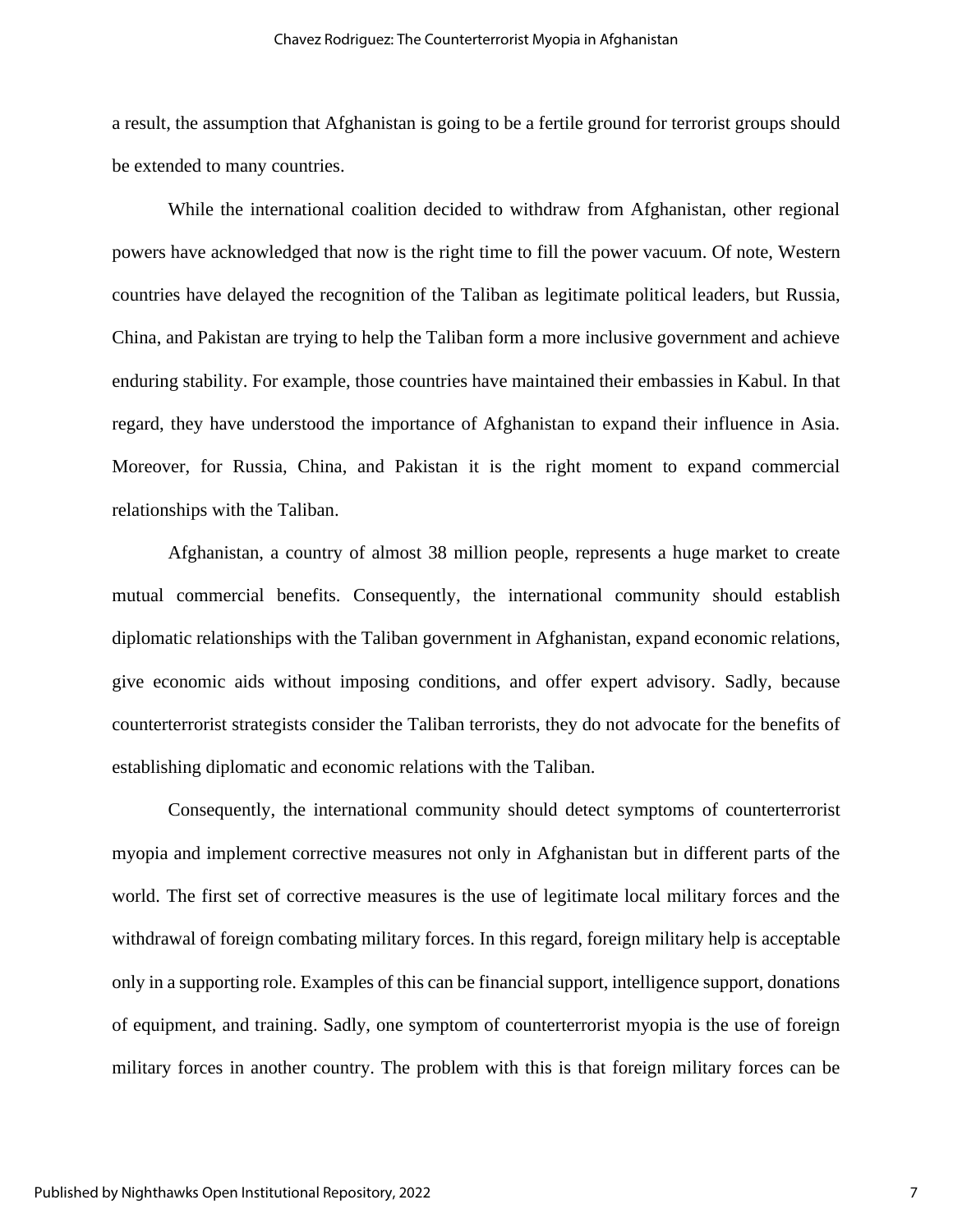a result, the assumption that Afghanistan is going to be a fertile ground for terrorist groups should be extended to many countries.

While the international coalition decided to withdraw from Afghanistan, other regional powers have acknowledged that now is the right time to fill the power vacuum. Of note, Western countries have delayed the recognition of the Taliban as legitimate political leaders, but Russia, China, and Pakistan are trying to help the Taliban form a more inclusive government and achieve enduring stability. For example, those countries have maintained their embassies in Kabul. In that regard, they have understood the importance of Afghanistan to expand their influence in Asia. Moreover, for Russia, China, and Pakistan it is the right moment to expand commercial relationships with the Taliban.

Afghanistan, a country of almost 38 million people, represents a huge market to create mutual commercial benefits. Consequently, the international community should establish diplomatic relationships with the Taliban government in Afghanistan, expand economic relations, give economic aids without imposing conditions, and offer expert advisory. Sadly, because counterterrorist strategists consider the Taliban terrorists, they do not advocate for the benefits of establishing diplomatic and economic relations with the Taliban.

Consequently, the international community should detect symptoms of counterterrorist myopia and implement corrective measures not only in Afghanistan but in different parts of the world. The first set of corrective measures is the use of legitimate local military forces and the withdrawal of foreign combating military forces. In this regard, foreign military help is acceptable only in a supporting role. Examples of this can be financial support, intelligence support, donations of equipment, and training. Sadly, one symptom of counterterrorist myopia is the use of foreign military forces in another country. The problem with this is that foreign military forces can be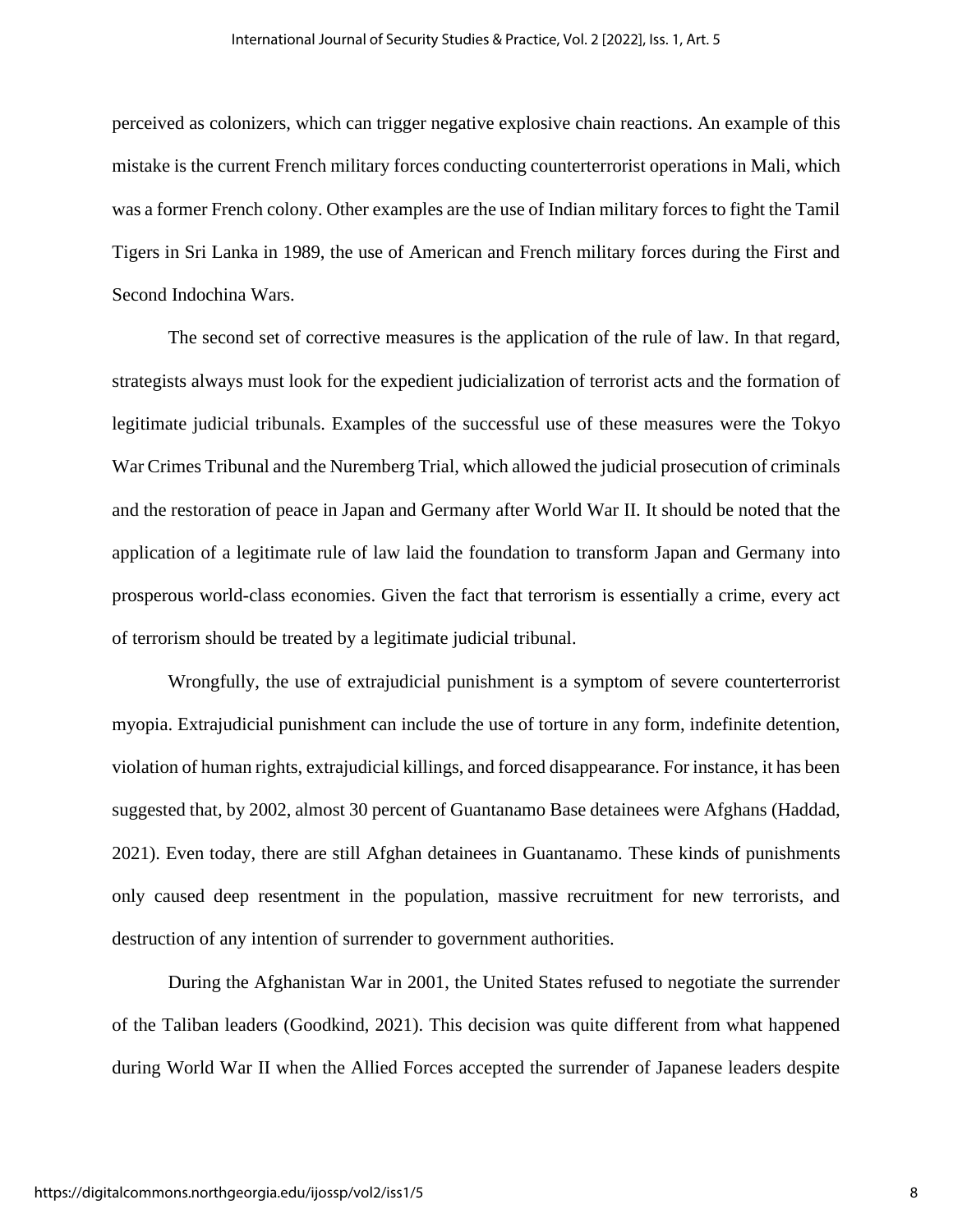perceived as colonizers, which can trigger negative explosive chain reactions. An example of this mistake is the current French military forces conducting counterterrorist operations in Mali, which was a former French colony. Other examples are the use of Indian military forces to fight the Tamil Tigers in Sri Lanka in 1989, the use of American and French military forces during the First and Second Indochina Wars.

The second set of corrective measures is the application of the rule of law. In that regard, strategists always must look for the expedient judicialization of terrorist acts and the formation of legitimate judicial tribunals. Examples of the successful use of these measures were the Tokyo War Crimes Tribunal and the Nuremberg Trial, which allowed the judicial prosecution of criminals and the restoration of peace in Japan and Germany after World War II. It should be noted that the application of a legitimate rule of law laid the foundation to transform Japan and Germany into prosperous world-class economies. Given the fact that terrorism is essentially a crime, every act of terrorism should be treated by a legitimate judicial tribunal.

Wrongfully, the use of extrajudicial punishment is a symptom of severe counterterrorist myopia. Extrajudicial punishment can include the use of torture in any form, indefinite detention, violation of human rights, extrajudicial killings, and forced disappearance. For instance, it has been suggested that, by 2002, almost 30 percent of Guantanamo Base detainees were Afghans (Haddad, 2021). Even today, there are still Afghan detainees in Guantanamo. These kinds of punishments only caused deep resentment in the population, massive recruitment for new terrorists, and destruction of any intention of surrender to government authorities.

During the Afghanistan War in 2001, the United States refused to negotiate the surrender of the Taliban leaders (Goodkind, 2021). This decision was quite different from what happened during World War II when the Allied Forces accepted the surrender of Japanese leaders despite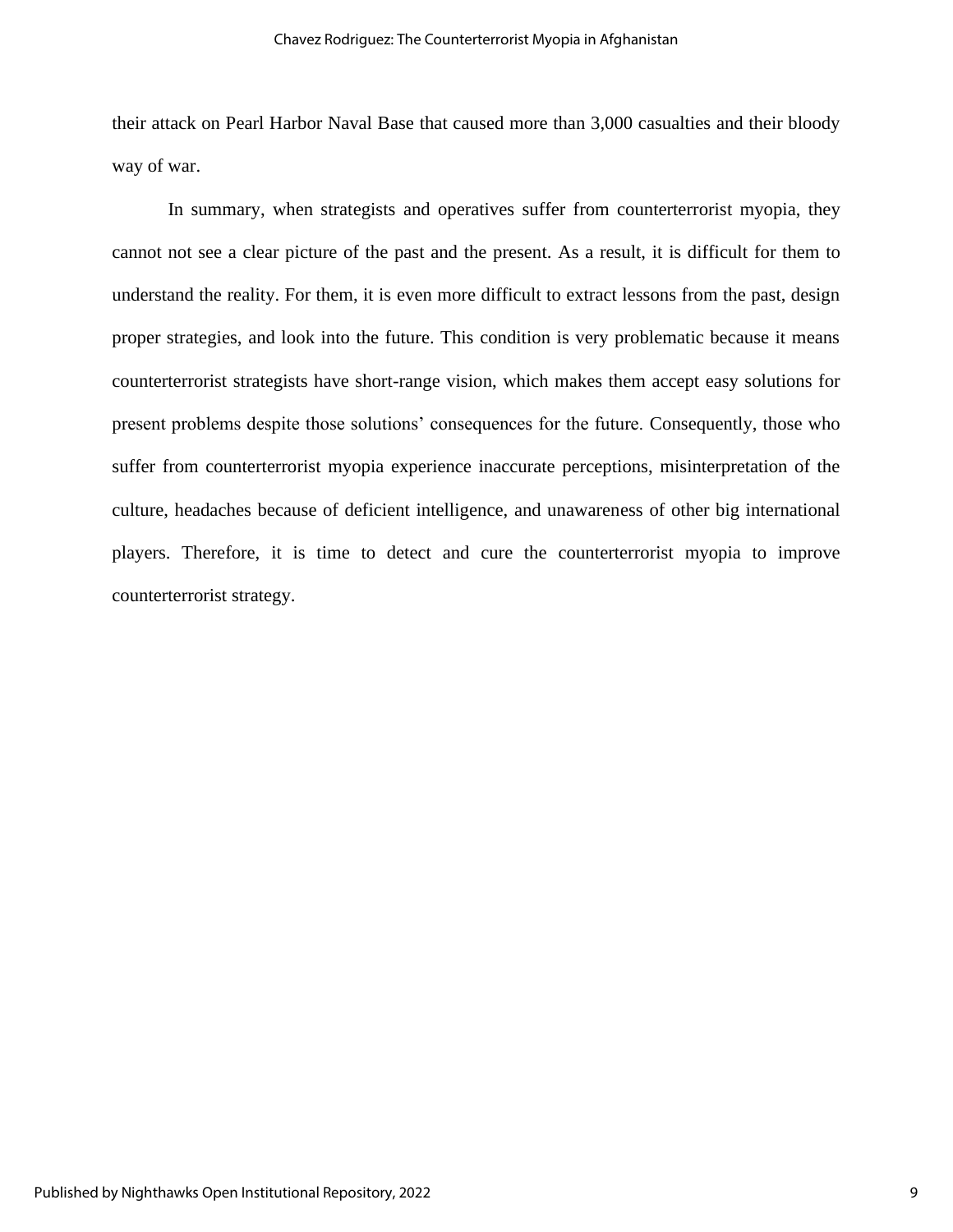their attack on Pearl Harbor Naval Base that caused more than 3,000 casualties and their bloody way of war.

In summary, when strategists and operatives suffer from counterterrorist myopia, they cannot not see a clear picture of the past and the present. As a result, it is difficult for them to understand the reality. For them, it is even more difficult to extract lessons from the past, design proper strategies, and look into the future. This condition is very problematic because it means counterterrorist strategists have short-range vision, which makes them accept easy solutions for present problems despite those solutions' consequences for the future. Consequently, those who suffer from counterterrorist myopia experience inaccurate perceptions, misinterpretation of the culture, headaches because of deficient intelligence, and unawareness of other big international players. Therefore, it is time to detect and cure the counterterrorist myopia to improve counterterrorist strategy.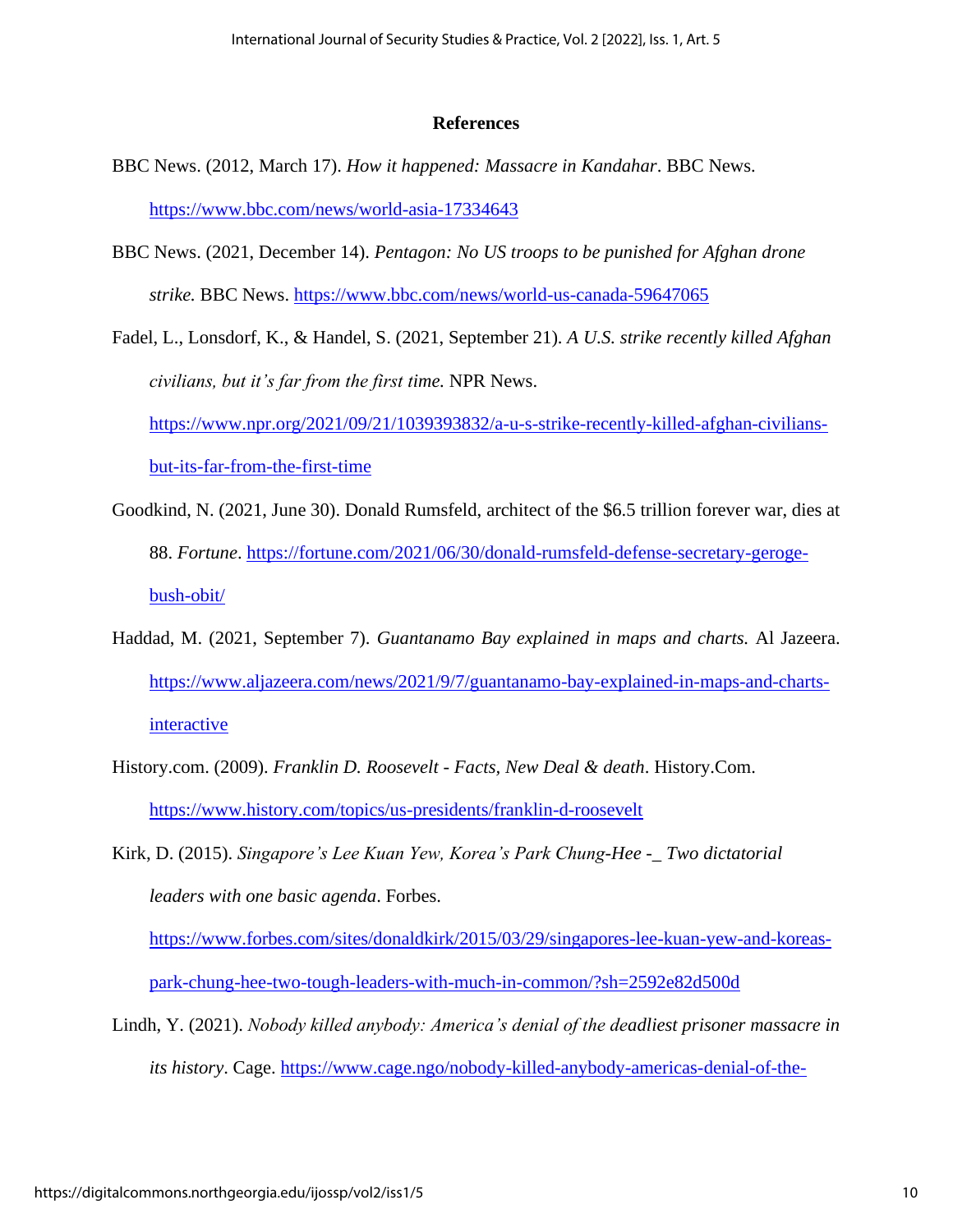#### **References**

- BBC News. (2012, March 17). *How it happened: Massacre in Kandahar*. BBC News. <https://www.bbc.com/news/world-asia-17334643>
- BBC News. (2021, December 14). *Pentagon: No US troops to be punished for Afghan drone strike.* BBC News.<https://www.bbc.com/news/world-us-canada-59647065>

Fadel, L., Lonsdorf, K., & Handel, S. (2021, September 21). *A U.S. strike recently killed Afghan civilians, but it's far from the first time.* NPR News. [https://www.npr.org/2021/09/21/1039393832/a-u-s-strike-recently-killed-afghan-civilians](https://www.npr.org/2021/09/21/1039393832/a-u-s-strike-recently-killed-afghan-civilians-but-its-far-from-the-first-time)[but-its-far-from-the-first-time](https://www.npr.org/2021/09/21/1039393832/a-u-s-strike-recently-killed-afghan-civilians-but-its-far-from-the-first-time)

- Goodkind, N. (2021, June 30). Donald Rumsfeld, architect of the \$6.5 trillion forever war, dies at 88. *Fortune*. [https://fortune.com/2021/06/30/donald-rumsfeld-defense-secretary-geroge](https://fortune.com/2021/06/30/donald-rumsfeld-defense-secretary-geroge-bush-obit/)[bush-obit/](https://fortune.com/2021/06/30/donald-rumsfeld-defense-secretary-geroge-bush-obit/)
- Haddad, M. (2021, September 7). *Guantanamo Bay explained in maps and charts.* Al Jazeera. [https://www.aljazeera.com/news/2021/9/7/guantanamo-bay-explained-in-maps-and-charts](https://www.aljazeera.com/news/2021/9/7/guantanamo-bay-explained-in-maps-and-charts-interactive)[interactive](https://www.aljazeera.com/news/2021/9/7/guantanamo-bay-explained-in-maps-and-charts-interactive)
- History.com. (2009). *Franklin D. Roosevelt - Facts, New Deal & death*. History.Com. <https://www.history.com/topics/us-presidents/franklin-d-roosevelt>
- Kirk, D. (2015). *Singapore's Lee Kuan Yew, Korea's Park Chung-Hee -\_ Two dictatorial leaders with one basic agenda*. Forbes.

[https://www.forbes.com/sites/donaldkirk/2015/03/29/singapores-lee-kuan-yew-and-koreas](https://www.forbes.com/sites/donaldkirk/2015/03/29/singapores-lee-kuan-yew-and-koreas-park-chung-hee-two-tough-leaders-with-much-in-common/?sh=2592e82d500d)[park-chung-hee-two-tough-leaders-with-much-in-common/?sh=2592e82d500d](https://www.forbes.com/sites/donaldkirk/2015/03/29/singapores-lee-kuan-yew-and-koreas-park-chung-hee-two-tough-leaders-with-much-in-common/?sh=2592e82d500d)

Lindh, Y. (2021). *Nobody killed anybody: America's denial of the deadliest prisoner massacre in its history*. Cage. [https://www.cage.ngo/nobody-killed-anybody-americas-denial-of-the-](https://www.cage.ngo/nobody-killed-anybody-americas-denial-of-the-deadliest-prisoner-massacre-in-its-history)